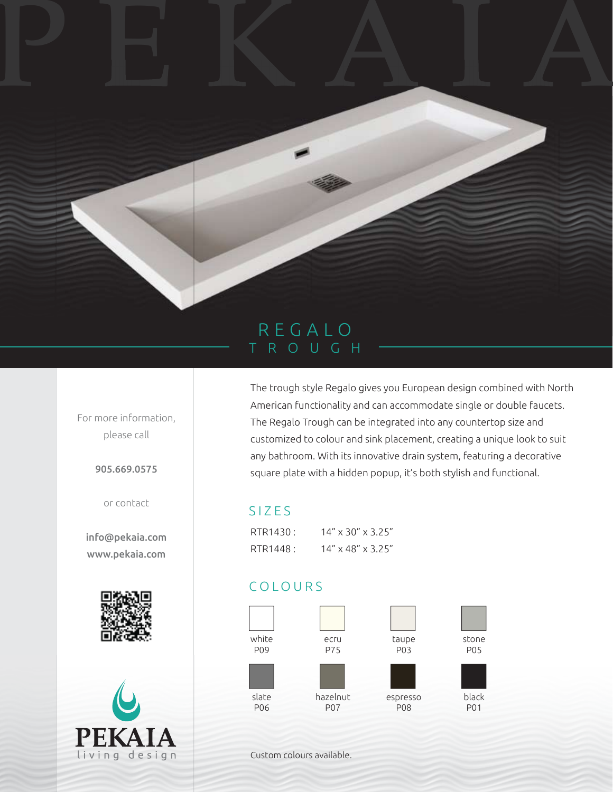## REGALO TROUGH

PEKAIA

For more information, please call

905.669.0575

or contact

info@pekaia.com www.pekaia.com





The trough style Regalo gives you European design combined with North American functionality and can accommodate single or double faucets. The Regalo Trough can be integrated into any countertop size and customized to colour and sink placement, creating a unique look to suit any bathroom. With its innovative drain system, featuring a decorative square plate with a hidden popup, it's both stylish and functional.

## SIZES

| RTR1430: | $14'' \times 30'' \times 3.25''$ |
|----------|----------------------------------|
| RTR1448: | $14'' \times 48'' \times 3.25''$ |

## COLOURS



Custom colours available.